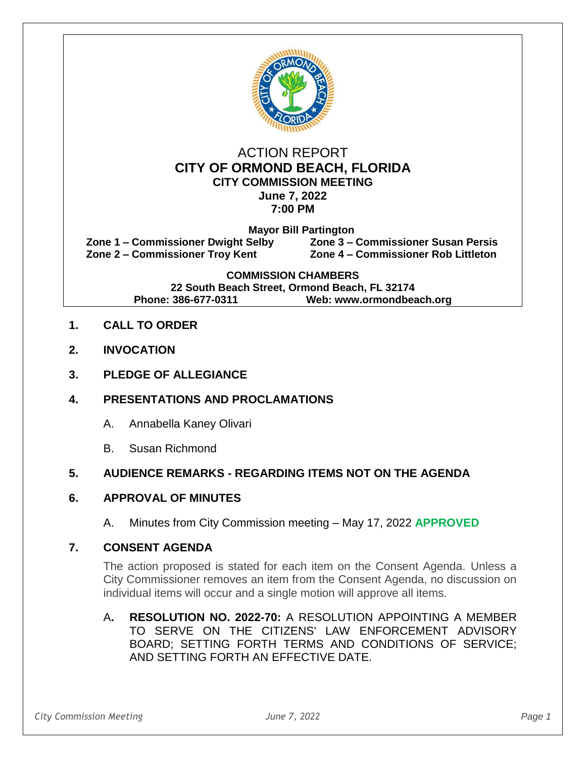

## ACTION REPORT **CITY OF ORMOND BEACH, FLORIDA CITY COMMISSION MEETING June 7, 2022 7:00 PM**

**Mayor Bill Partington**

**Zone 1 – Commissioner Dwight Selby Zone 3 – Commissioner Susan Persis Zone 2 – Commissioner Troy Kent Zone 4 – Commissioner Rob Littleton**

**COMMISSION CHAMBERS 22 South Beach Street, Ormond Beach, FL 32174 Phone: 386-677-0311 Web: www.ormondbeach.org**

- **1. CALL TO ORDER**
- **2. INVOCATION**
- **3. PLEDGE OF ALLEGIANCE**
- **4. PRESENTATIONS AND PROCLAMATIONS**
	- A. Annabella Kaney Olivari
	- B. Susan Richmond

## **5. AUDIENCE REMARKS - REGARDING ITEMS NOT ON THE AGENDA**

## **6. APPROVAL OF MINUTES**

A. Minutes from City Commission meeting – May 17, 2022 **APPROVED**

#### **7. CONSENT AGENDA**

The action proposed is stated for each item on the Consent Agenda. Unless a City Commissioner removes an item from the Consent Agenda, no discussion on individual items will occur and a single motion will approve all items.

A**. RESOLUTION NO. 2022-70:** A RESOLUTION APPOINTING A MEMBER TO SERVE ON THE CITIZENS' LAW ENFORCEMENT ADVISORY BOARD; SETTING FORTH TERMS AND CONDITIONS OF SERVICE; AND SETTING FORTH AN EFFECTIVE DATE.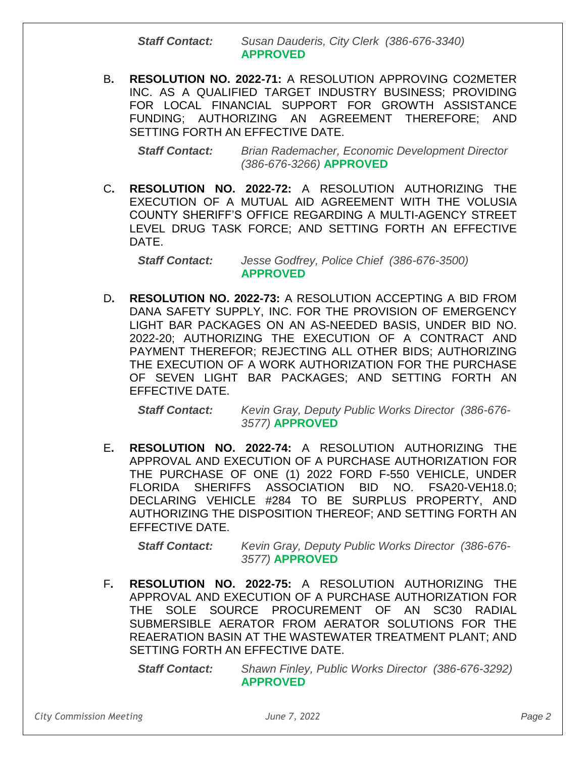#### *Staff Contact: Susan Dauderis, City Clerk (386-676-3340)* **APPROVED**

B**. RESOLUTION NO. 2022-71:** A RESOLUTION APPROVING CO2METER INC. AS A QUALIFIED TARGET INDUSTRY BUSINESS; PROVIDING FOR LOCAL FINANCIAL SUPPORT FOR GROWTH ASSISTANCE FUNDING; AUTHORIZING AN AGREEMENT THEREFORE; AND SETTING FORTH AN EFFECTIVE DATE.

*Staff Contact: Brian Rademacher, Economic Development Director (386-676-3266)* **APPROVED**

C**. RESOLUTION NO. 2022-72:** A RESOLUTION AUTHORIZING THE EXECUTION OF A MUTUAL AID AGREEMENT WITH THE VOLUSIA COUNTY SHERIFF'S OFFICE REGARDING A MULTI-AGENCY STREET LEVEL DRUG TASK FORCE; AND SETTING FORTH AN EFFECTIVE DATE.

*Staff Contact: Jesse Godfrey, Police Chief (386-676-3500)* **APPROVED**

D**. RESOLUTION NO. 2022-73:** A RESOLUTION ACCEPTING A BID FROM DANA SAFETY SUPPLY, INC. FOR THE PROVISION OF EMERGENCY LIGHT BAR PACKAGES ON AN AS-NEEDED BASIS, UNDER BID NO. 2022-20; AUTHORIZING THE EXECUTION OF A CONTRACT AND PAYMENT THEREFOR; REJECTING ALL OTHER BIDS; AUTHORIZING THE EXECUTION OF A WORK AUTHORIZATION FOR THE PURCHASE OF SEVEN LIGHT BAR PACKAGES; AND SETTING FORTH AN EFFECTIVE DATE.

*Staff Contact: Kevin Gray, Deputy Public Works Director (386-676- 3577)* **APPROVED**

E**. RESOLUTION NO. 2022-74:** A RESOLUTION AUTHORIZING THE APPROVAL AND EXECUTION OF A PURCHASE AUTHORIZATION FOR THE PURCHASE OF ONE (1) 2022 FORD F-550 VEHICLE, UNDER FLORIDA SHERIFFS ASSOCIATION BID NO. FSA20-VEH18.0; DECLARING VEHICLE #284 TO BE SURPLUS PROPERTY, AND AUTHORIZING THE DISPOSITION THEREOF; AND SETTING FORTH AN EFFECTIVE DATE.

*Staff Contact: Kevin Gray, Deputy Public Works Director (386-676- 3577)* **APPROVED**

F**. RESOLUTION NO. 2022-75:** A RESOLUTION AUTHORIZING THE APPROVAL AND EXECUTION OF A PURCHASE AUTHORIZATION FOR THE SOLE SOURCE PROCUREMENT OF AN SC30 RADIAL SUBMERSIBLE AERATOR FROM AERATOR SOLUTIONS FOR THE REAERATION BASIN AT THE WASTEWATER TREATMENT PLANT; AND SETTING FORTH AN EFFECTIVE DATE.

*Staff Contact: Shawn Finley, Public Works Director (386-676-3292)* **APPROVED**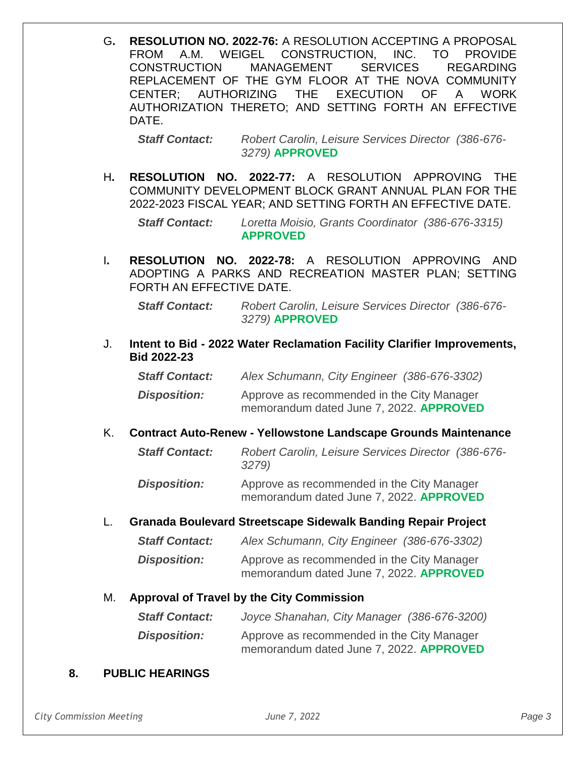G**. RESOLUTION NO. 2022-76:** A RESOLUTION ACCEPTING A PROPOSAL FROM A.M. WEIGEL CONSTRUCTION, INC. TO PROVIDE CONSTRUCTION MANAGEMENT SERVICES REGARDING REPLACEMENT OF THE GYM FLOOR AT THE NOVA COMMUNITY CENTER; AUTHORIZING THE EXECUTION OF A WORK AUTHORIZATION THERETO; AND SETTING FORTH AN EFFECTIVE DATE.

*Staff Contact: Robert Carolin, Leisure Services Director (386-676- 3279)* **APPROVED**

H**. RESOLUTION NO. 2022-77:** A RESOLUTION APPROVING THE COMMUNITY DEVELOPMENT BLOCK GRANT ANNUAL PLAN FOR THE 2022-2023 FISCAL YEAR; AND SETTING FORTH AN EFFECTIVE DATE.

*Staff Contact: Loretta Moisio, Grants Coordinator (386-676-3315)* **APPROVED**

I**. RESOLUTION NO. 2022-78:** A RESOLUTION APPROVING AND ADOPTING A PARKS AND RECREATION MASTER PLAN; SETTING FORTH AN EFFECTIVE DATE.

*Staff Contact: Robert Carolin, Leisure Services Director (386-676- 3279)* **APPROVED**

J. **Intent to Bid - 2022 Water Reclamation Facility Clarifier Improvements, Bid 2022-23**

| <b>Staff Contact:</b> | Alex Schumann, City Engineer (386-676-3302)                                           |
|-----------------------|---------------------------------------------------------------------------------------|
| <b>Disposition:</b>   | Approve as recommended in the City Manager<br>memorandum dated June 7, 2022. APPROVED |

- K. **Contract Auto-Renew - Yellowstone Landscape Grounds Maintenance**
	- *Staff Contact: Robert Carolin, Leisure Services Director (386-676- 3279)*
	- **Disposition:** Approve as recommended in the City Manager memorandum dated June 7, 2022. **APPROVED**
- L. **Granada Boulevard Streetscape Sidewalk Banding Repair Project**

| <b>Staff Contact:</b> | Alex Schumann, City Engineer (386-676-3302)                                           |
|-----------------------|---------------------------------------------------------------------------------------|
| <b>Disposition:</b>   | Approve as recommended in the City Manager<br>memorandum dated June 7, 2022. APPROVED |

## M. **Approval of Travel by the City Commission**

| <b>Staff Contact:</b> | Joyce Shanahan, City Manager (386-676-3200)                                           |
|-----------------------|---------------------------------------------------------------------------------------|
| <b>Disposition:</b>   | Approve as recommended in the City Manager<br>memorandum dated June 7, 2022. APPROVED |

## **8. PUBLIC HEARINGS**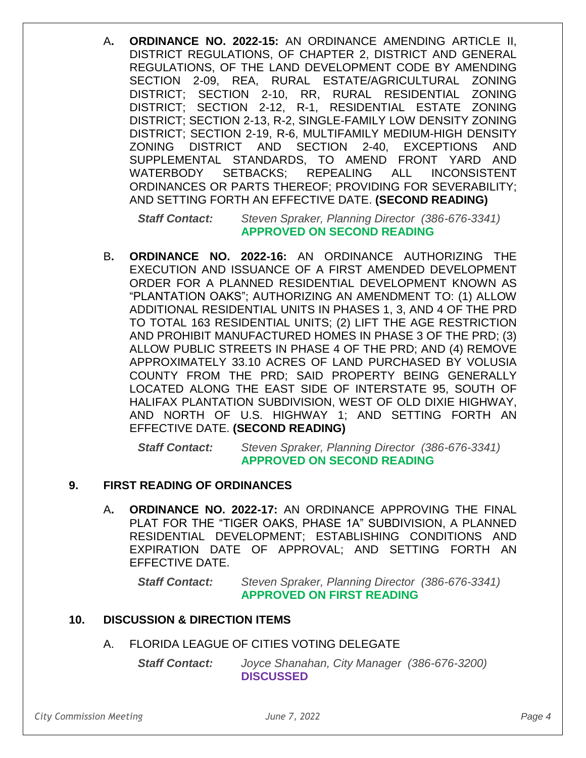A**. ORDINANCE NO. 2022-15:** AN ORDINANCE AMENDING ARTICLE II, DISTRICT REGULATIONS, OF CHAPTER 2, DISTRICT AND GENERAL REGULATIONS, OF THE LAND DEVELOPMENT CODE BY AMENDING SECTION 2-09, REA, RURAL ESTATE/AGRICULTURAL ZONING DISTRICT; SECTION 2-10, RR, RURAL RESIDENTIAL ZONING DISTRICT; SECTION 2-12, R-1, RESIDENTIAL ESTATE ZONING DISTRICT; SECTION 2-13, R-2, SINGLE-FAMILY LOW DENSITY ZONING DISTRICT; SECTION 2-19, R-6, MULTIFAMILY MEDIUM-HIGH DENSITY ZONING DISTRICT AND SECTION 2-40, EXCEPTIONS AND SUPPLEMENTAL STANDARDS, TO AMEND FRONT YARD AND WATERBODY SETBACKS; REPEALING ALL INCONSISTENT ORDINANCES OR PARTS THEREOF; PROVIDING FOR SEVERABILITY; AND SETTING FORTH AN EFFECTIVE DATE. **(SECOND READING)**

*Staff Contact: Steven Spraker, Planning Director (386-676-3341)* **APPROVED ON SECOND READING**

B**. ORDINANCE NO. 2022-16:** AN ORDINANCE AUTHORIZING THE EXECUTION AND ISSUANCE OF A FIRST AMENDED DEVELOPMENT ORDER FOR A PLANNED RESIDENTIAL DEVELOPMENT KNOWN AS "PLANTATION OAKS"; AUTHORIZING AN AMENDMENT TO: (1) ALLOW ADDITIONAL RESIDENTIAL UNITS IN PHASES 1, 3, AND 4 OF THE PRD TO TOTAL 163 RESIDENTIAL UNITS; (2) LIFT THE AGE RESTRICTION AND PROHIBIT MANUFACTURED HOMES IN PHASE 3 OF THE PRD; (3) ALLOW PUBLIC STREETS IN PHASE 4 OF THE PRD; AND (4) REMOVE APPROXIMATELY 33.10 ACRES OF LAND PURCHASED BY VOLUSIA COUNTY FROM THE PRD; SAID PROPERTY BEING GENERALLY LOCATED ALONG THE EAST SIDE OF INTERSTATE 95, SOUTH OF HALIFAX PLANTATION SUBDIVISION, WEST OF OLD DIXIE HIGHWAY, AND NORTH OF U.S. HIGHWAY 1; AND SETTING FORTH AN EFFECTIVE DATE. **(SECOND READING)**

*Staff Contact: Steven Spraker, Planning Director (386-676-3341)* **APPROVED ON SECOND READING**

## **9. FIRST READING OF ORDINANCES**

A**. ORDINANCE NO. 2022-17:** AN ORDINANCE APPROVING THE FINAL PLAT FOR THE "TIGER OAKS, PHASE 1A" SUBDIVISION, A PLANNED RESIDENTIAL DEVELOPMENT; ESTABLISHING CONDITIONS AND EXPIRATION DATE OF APPROVAL; AND SETTING FORTH AN EFFECTIVE DATE.

*Staff Contact: Steven Spraker, Planning Director (386-676-3341)* **APPROVED ON FIRST READING**

# **10. DISCUSSION & DIRECTION ITEMS**

A. FLORIDA LEAGUE OF CITIES VOTING DELEGATE

*Staff Contact: Joyce Shanahan, City Manager (386-676-3200)* **DISCUSSED**